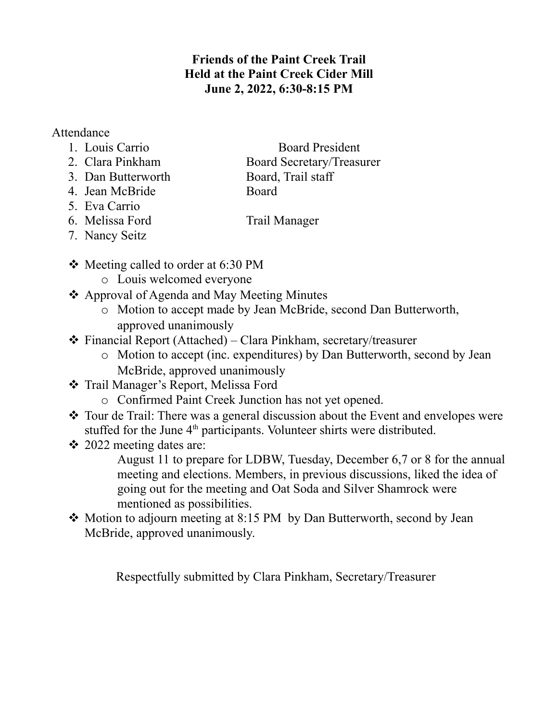## **Friends of the Paint Creek Trail Held at the Paint Creek Cider Mill June 2, 2022, 6:30-8:15 PM**

## Attendance

- 
- 1. Louis Carrio Board President
- 2. Clara Pinkham Board Secretary/Treasurer 3. Dan Butterworth Board, Trail staff
- 4. Jean McBride Board
- 5. Eva Carrio
- 

- 6. Melissa Ford Trail Manager 7. Nancy Seitz
- $\div$  Meeting called to order at 6:30 PM
	- o Louis welcomed everyone
- ❖ Approval of Agenda and May Meeting Minutes
	- o Motion to accept made by Jean McBride, second Dan Butterworth, approved unanimously
- Financial Report (Attached) Clara Pinkham, secretary/treasurer
	- o Motion to accept (inc. expenditures) by Dan Butterworth, second by Jean McBride, approved unanimously
- Trail Manager's Report, Melissa Ford
	- o Confirmed Paint Creek Junction has not yet opened.
- Tour de Trail: There was a general discussion about the Event and envelopes were stuffed for the June 4<sup>th</sup> participants. Volunteer shirts were distributed.
- $\div$  2022 meeting dates are:

August 11 to prepare for LDBW, Tuesday, December 6,7 or 8 for the annual meeting and elections. Members, in previous discussions, liked the idea of going out for the meeting and Oat Soda and Silver Shamrock were mentioned as possibilities.

• Motion to adjourn meeting at 8:15 PM by Dan Butterworth, second by Jean McBride, approved unanimously.

Respectfully submitted by Clara Pinkham, Secretary/Treasurer